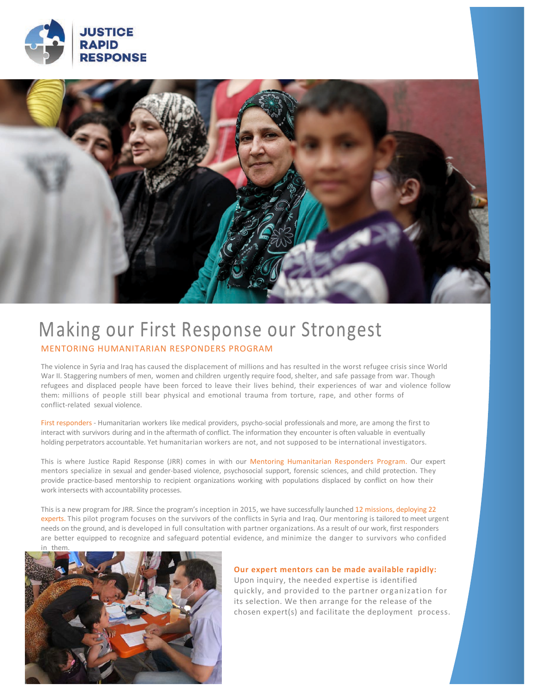



# Making our First Response our Strongest MENTORING HUMANITARIAN RESPONDERS PROGRAM

The violence in Syria and Irag has caused the displacement of millions and has resulted in the worst refugee crisis since World War II. Staggering numbers of men, women and children urgently require food, shelter, and safe passage from war. Though refugees and displaced people have been forced to leave their lives behind, their experiences of war and violence follow them: millions of people still bear physical and emotional trauma from torture, rape, and other forms of conflict-related sexual violence.

First responders - Humanitarian workers like medical providers, psycho-social professionals and more, are among the first to interact with survivors during and in the aftermath of conflict. The information they encounter is often valuable in eventually holding perpetrators accountable. Yet humanitarian workers are not, and not supposed to be international investigators.

This is where Justice Rapid Response (JRR) comes in with our Mentoring Humanitarian Responders Program. Our expert mentors specialize in sexual and gender-based violence, psychosocial support, forensic sciences, and child protection. They provide practice-based mentorship to recipient organizations working with populations displaced by conflict on how their work intersects with accountability processes.

This is a new program for JRR. Since the program's inception in 2015, we have successfully launched 12 missions, deploying 22 experts. This pilot program focuses on the survivors of the conflicts in Syria and Iraq. Our mentoring is tailored to meet urgent needs on the ground, and is developed in full consultation with partner organizations. As a result of our work, first responders are better equipped to recognize and safeguard potential evidence, and minimize the danger to survivors who confided



Our expert mentors can be made available rapidly: Upon inquiry, the needed expertise is identified quickly, and provided to the partner organization for its selection. We then arrange for the release of the chosen expert(s) and facilitate the deployment process.